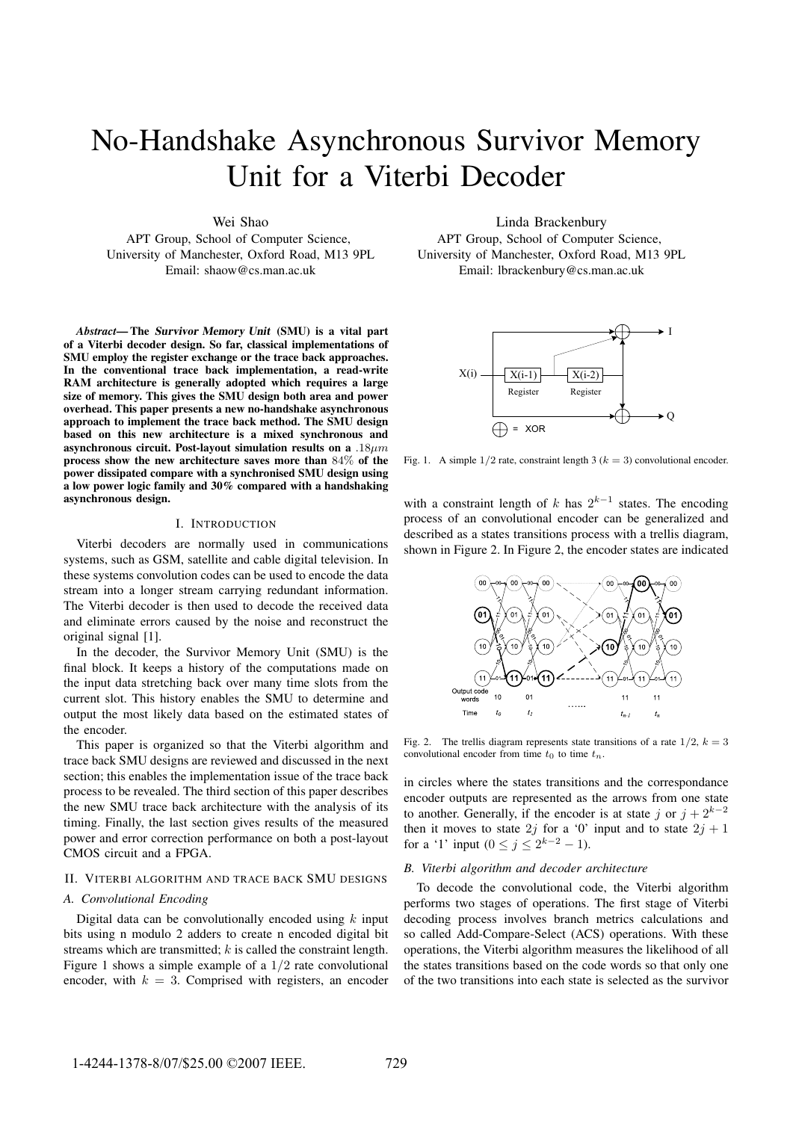# No-Handshake Asynchronous Survivor Memory Unit for a Viterbi Decoder

Wei Shao

APT Group, School of Computer Science, University of Manchester, Oxford Road, M13 9PL Email: shaow@cs.man.ac.uk

*Abstract*— The Survivor Memory Unit (SMU) is a vital part of a Viterbi decoder design. So far, classical implementations of SMU employ the register exchange or the trace back approaches. In the conventional trace back implementation, a read-write RAM architecture is generally adopted which requires a large size of memory. This gives the SMU design both area and power overhead. This paper presents a new no-handshake asynchronous approach to implement the trace back method. The SMU design based on this new architecture is a mixed synchronous and asynchronous circuit. Post-layout simulation results on a  $.18 \mu m$ process show the new architecture saves more than 84% of the power dissipated compare with a synchronised SMU design using a low power logic family and 30% compared with a handshaking asynchronous design.

## I. INTRODUCTION

Viterbi decoders are normally used in communications systems, such as GSM, satellite and cable digital television. In these systems convolution codes can be used to encode the data stream into a longer stream carrying redundant information. The Viterbi decoder is then used to decode the received data and eliminate errors caused by the noise and reconstruct the original signal [1].

In the decoder, the Survivor Memory Unit (SMU) is the final block. It keeps a history of the computations made on the input data stretching back over many time slots from the current slot. This history enables the SMU to determine and output the most likely data based on the estimated states of the encoder.

This paper is organized so that the Viterbi algorithm and trace back SMU designs are reviewed and discussed in the next section; this enables the implementation issue of the trace back process to be revealed. The third section of this paper describes the new SMU trace back architecture with the analysis of its timing. Finally, the last section gives results of the measured power and error correction performance on both a post-layout CMOS circuit and a FPGA.

## II. VITERBI ALGORITHM AND TRACE BACK SMU DESIGNS

## *A. Convolutional Encoding*

Digital data can be convolutionally encoded using  $k$  input bits using n modulo 2 adders to create n encoded digital bit streams which are transmitted; k is called the constraint length. Figure 1 shows a simple example of a 1/2 rate convolutional encoder, with  $k = 3$ . Comprised with registers, an encoder

Linda Brackenbury APT Group, School of Computer Science, University of Manchester, Oxford Road, M13 9PL Email: lbrackenbury@cs.man.ac.uk



Fig. 1. A simple  $1/2$  rate, constraint length 3 ( $k = 3$ ) convolutional encoder.

with a constraint length of k has  $2^{k-1}$  states. The encoding process of an convolutional encoder can be generalized and described as a states transitions process with a trellis diagram, shown in Figure 2. In Figure 2, the encoder states are indicated



Fig. 2. The trellis diagram represents state transitions of a rate  $1/2$ ,  $k = 3$ convolutional encoder from time  $t_0$  to time  $t_n$ .

in circles where the states transitions and the correspondance encoder outputs are represented as the arrows from one state to another. Generally, if the encoder is at state j or  $j + 2^{k-2}$ then it moves to state 2j for a '0' input and to state  $2j + 1$ for a '1' input  $(0 \le j \le 2^{k-2} - 1)$ .

## *B. Viterbi algorithm and decoder architecture*

To decode the convolutional code, the Viterbi algorithm performs two stages of operations. The first stage of Viterbi decoding process involves branch metrics calculations and so called Add-Compare-Select (ACS) operations. With these operations, the Viterbi algorithm measures the likelihood of all the states transitions based on the code words so that only one of the two transitions into each state is selected as the survivor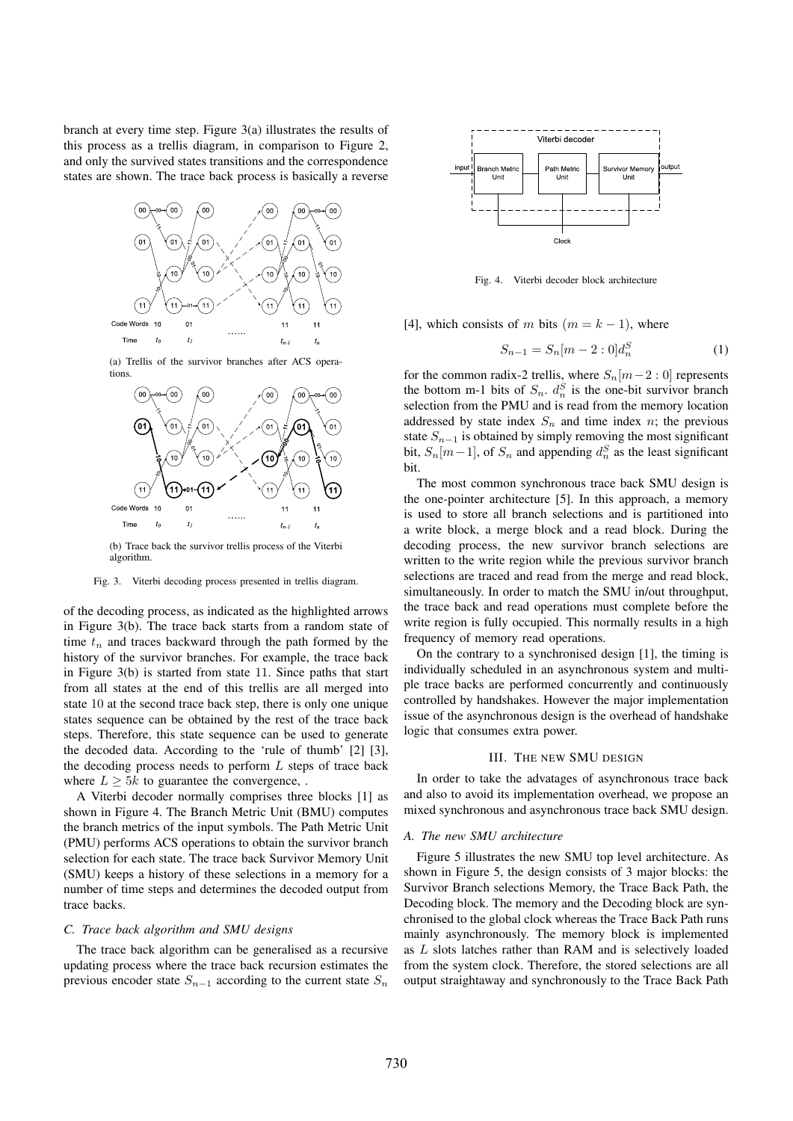branch at every time step. Figure 3(a) illustrates the results of this process as a trellis diagram, in comparison to Figure 2, and only the survived states transitions and the correspondence states are shown. The trace back process is basically a reverse



(a) Trellis of the survivor branches after ACS operations.



(b) Trace back the survivor trellis process of the Viterbi algorithm.

#### Fig. 3. Viterbi decoding process presented in trellis diagram.

of the decoding process, as indicated as the highlighted arrows in Figure 3(b). The trace back starts from a random state of time  $t_n$  and traces backward through the path formed by the history of the survivor branches. For example, the trace back in Figure 3(b) is started from state 11. Since paths that start from all states at the end of this trellis are all merged into state 10 at the second trace back step, there is only one unique states sequence can be obtained by the rest of the trace back steps. Therefore, this state sequence can be used to generate the decoded data. According to the 'rule of thumb' [2] [3], the decoding process needs to perform  $L$  steps of trace back where  $L \geq 5k$  to guarantee the convergence, .

A Viterbi decoder normally comprises three blocks [1] as shown in Figure 4. The Branch Metric Unit (BMU) computes the branch metrics of the input symbols. The Path Metric Unit (PMU) performs ACS operations to obtain the survivor branch selection for each state. The trace back Survivor Memory Unit (SMU) keeps a history of these selections in a memory for a number of time steps and determines the decoded output from trace backs.

#### *C. Trace back algorithm and SMU designs*

The trace back algorithm can be generalised as a recursive updating process where the trace back recursion estimates the previous encoder state  $S_{n-1}$  according to the current state  $S_n$ 



Fig. 4. Viterbi decoder block architecture

[4], which consists of m bits  $(m = k - 1)$ , where

$$
S_{n-1} = S_n[m-2:0]d_n^S
$$
 (1)

for the common radix-2 trellis, where  $S_n[m-2:0]$  represents the bottom m-1 bits of  $S_n$ .  $d_n^S$  is the one-bit survivor branch selection from the PMU and is read from the memory location addressed by state index  $S_n$  and time index n; the previous state  $S_{n-1}$  is obtained by simply removing the most significant bit,  $S_n[m-1]$ , of  $S_n$  and appending  $d_n^S$  as the least significant bit.

The most common synchronous trace back SMU design is the one-pointer architecture [5]. In this approach, a memory is used to store all branch selections and is partitioned into a write block, a merge block and a read block. During the decoding process, the new survivor branch selections are written to the write region while the previous survivor branch selections are traced and read from the merge and read block, simultaneously. In order to match the SMU in/out throughput, the trace back and read operations must complete before the write region is fully occupied. This normally results in a high frequency of memory read operations.

On the contrary to a synchronised design [1], the timing is individually scheduled in an asynchronous system and multiple trace backs are performed concurrently and continuously controlled by handshakes. However the major implementation issue of the asynchronous design is the overhead of handshake logic that consumes extra power.

#### III. THE NEW SMU DESIGN

In order to take the advatages of asynchronous trace back and also to avoid its implementation overhead, we propose an mixed synchronous and asynchronous trace back SMU design.

## *A. The new SMU architecture*

Figure 5 illustrates the new SMU top level architecture. As shown in Figure 5, the design consists of 3 major blocks: the Survivor Branch selections Memory, the Trace Back Path, the Decoding block. The memory and the Decoding block are synchronised to the global clock whereas the Trace Back Path runs mainly asynchronously. The memory block is implemented as L slots latches rather than RAM and is selectively loaded from the system clock. Therefore, the stored selections are all output straightaway and synchronously to the Trace Back Path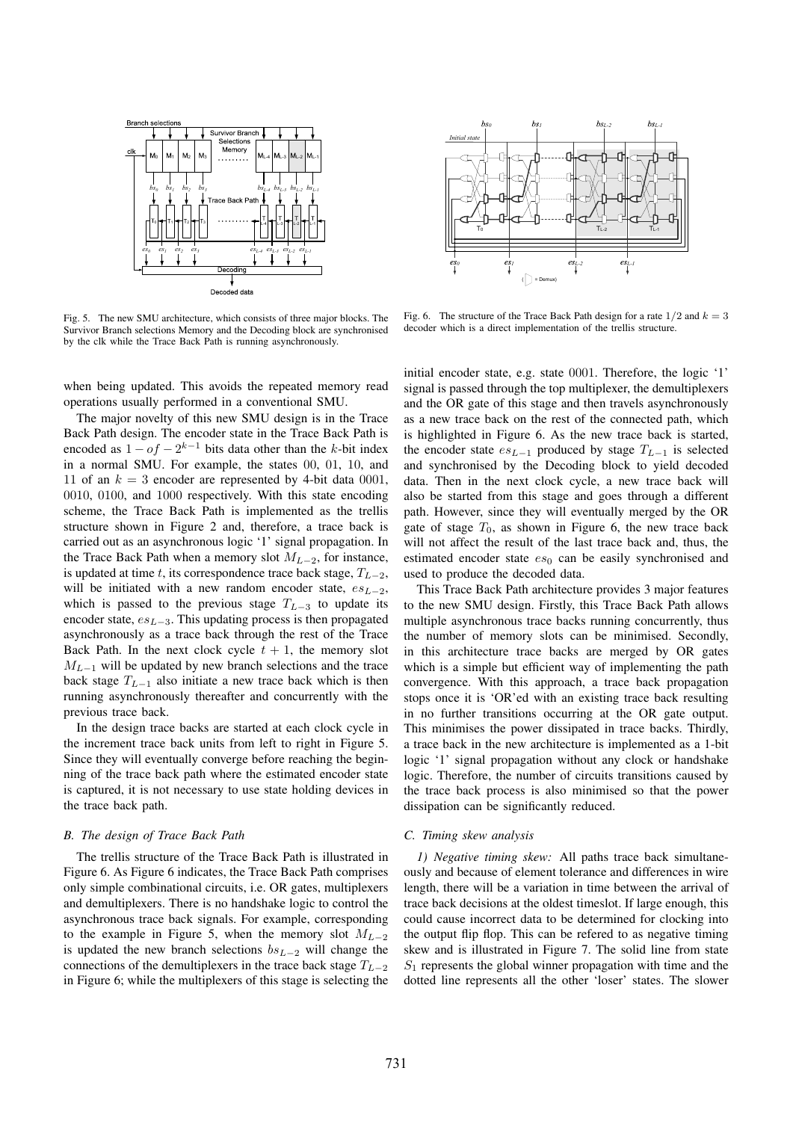

Fig. 5. The new SMU architecture, which consists of three major blocks. The Survivor Branch selections Memory and the Decoding block are synchronised by the clk while the Trace Back Path is running asynchronously.

when being updated. This avoids the repeated memory read operations usually performed in a conventional SMU.

The major novelty of this new SMU design is in the Trace Back Path design. The encoder state in the Trace Back Path is encoded as  $1 - of - 2^{k-1}$  bits data other than the k-bit index in a normal SMU. For example, the states 00, 01, 10, and 11 of an  $k = 3$  encoder are represented by 4-bit data 0001, 0010, 0100, and 1000 respectively. With this state encoding scheme, the Trace Back Path is implemented as the trellis structure shown in Figure 2 and, therefore, a trace back is carried out as an asynchronous logic '1' signal propagation. In the Trace Back Path when a memory slot  $M_{L-2}$ , for instance, is updated at time t, its correspondence trace back stage,  $T_{L-2}$ , will be initiated with a new random encoder state,  $es_{L-2}$ , which is passed to the previous stage  $T_{L-3}$  to update its encoder state,  $es_{L=3}$ . This updating process is then propagated asynchronously as a trace back through the rest of the Trace Back Path. In the next clock cycle  $t + 1$ , the memory slot  $M_{L-1}$  will be updated by new branch selections and the trace back stage  $T_{L-1}$  also initiate a new trace back which is then running asynchronously thereafter and concurrently with the previous trace back.

In the design trace backs are started at each clock cycle in the increment trace back units from left to right in Figure 5. Since they will eventually converge before reaching the beginning of the trace back path where the estimated encoder state is captured, it is not necessary to use state holding devices in the trace back path.

#### *B. The design of Trace Back Path*

The trellis structure of the Trace Back Path is illustrated in Figure 6. As Figure 6 indicates, the Trace Back Path comprises only simple combinational circuits, i.e. OR gates, multiplexers and demultiplexers. There is no handshake logic to control the asynchronous trace back signals. For example, corresponding to the example in Figure 5, when the memory slot  $M_{L-2}$ is updated the new branch selections  $bs_{L-2}$  will change the connections of the demultiplexers in the trace back stage  $T_{L-2}$ in Figure 6; while the multiplexers of this stage is selecting the



Fig. 6. The structure of the Trace Back Path design for a rate  $1/2$  and  $k = 3$ decoder which is a direct implementation of the trellis structure.

initial encoder state, e.g. state 0001. Therefore, the logic '1' signal is passed through the top multiplexer, the demultiplexers and the OR gate of this stage and then travels asynchronously as a new trace back on the rest of the connected path, which is highlighted in Figure 6. As the new trace back is started, the encoder state  $es_{L-1}$  produced by stage  $T_{L-1}$  is selected and synchronised by the Decoding block to yield decoded data. Then in the next clock cycle, a new trace back will also be started from this stage and goes through a different path. However, since they will eventually merged by the OR gate of stage  $T_0$ , as shown in Figure 6, the new trace back will not affect the result of the last trace back and, thus, the estimated encoder state  $es_0$  can be easily synchronised and used to produce the decoded data.

This Trace Back Path architecture provides 3 major features to the new SMU design. Firstly, this Trace Back Path allows multiple asynchronous trace backs running concurrently, thus the number of memory slots can be minimised. Secondly, in this architecture trace backs are merged by OR gates which is a simple but efficient way of implementing the path convergence. With this approach, a trace back propagation stops once it is 'OR'ed with an existing trace back resulting in no further transitions occurring at the OR gate output. This minimises the power dissipated in trace backs. Thirdly, a trace back in the new architecture is implemented as a 1-bit logic '1' signal propagation without any clock or handshake logic. Therefore, the number of circuits transitions caused by the trace back process is also minimised so that the power dissipation can be significantly reduced.

#### *C. Timing skew analysis*

*1) Negative timing skew:* All paths trace back simultaneously and because of element tolerance and differences in wire length, there will be a variation in time between the arrival of trace back decisions at the oldest timeslot. If large enough, this could cause incorrect data to be determined for clocking into the output flip flop. This can be refered to as negative timing skew and is illustrated in Figure 7. The solid line from state  $S_1$  represents the global winner propagation with time and the dotted line represents all the other 'loser' states. The slower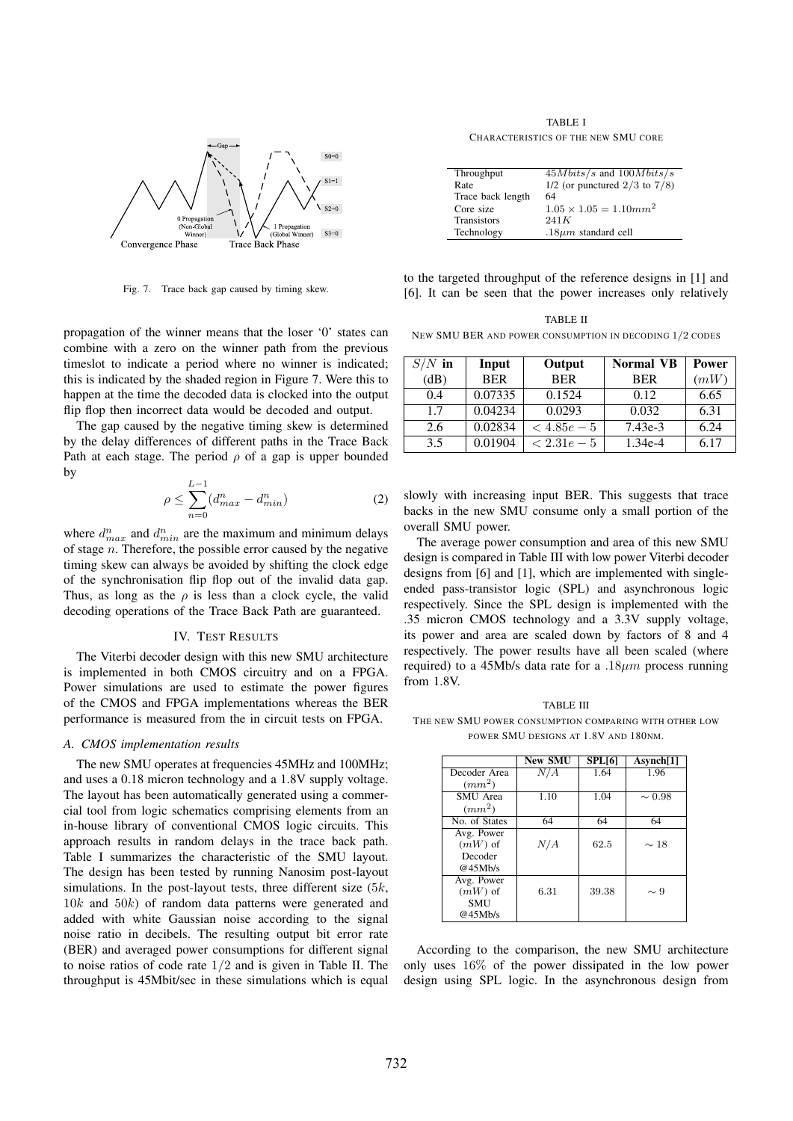

Fig. 7. Trace back gap caused by timing skew.

propagation of the winner means that the loser '0' states can combine with a zero on the winner path from the previous timeslot to indicate a period where no winner is indicated; this is indicated by the shaded region in Figure 7. Were this to happen at the time the decoded data is clocked into the output flip flop then incorrect data would be decoded and output.

The gap caused by the negative timing skew is determined by the delay differences of different paths in the Trace Back Path at each stage. The period  $\rho$  of a gap is upper bounded by

$$
\rho \le \sum_{n=0}^{L-1} (d_{max}^n - d_{min}^n) \tag{2}
$$

where  $d_{max}^n$  and  $d_{min}^n$  are the maximum and minimum delays of stage n. Therefore, the possible error caused by the negative timing skew can always be avoided by shifting the clock edge of the synchronisation flip flop out of the invalid data gap. Thus, as long as the  $\rho$  is less than a clock cycle, the valid decoding operations of the Trace Back Path are guaranteed.

#### IV. TEST RESULTS

The Viterbi decoder design with this new SMU architecture is implemented in both CMOS circuitry and on a FPGA. Power simulations are used to estimate the power figures of the CMOS and FPGA implementations whereas the BER performance is measured from the in circuit tests on FPGA.

#### *A. CMOS implementation results*

The new SMU operates at frequencies 45MHz and 100MHz; and uses a 0.18 micron technology and a 1.8V supply voltage. The layout has been automatically generated using a commercial tool from logic schematics comprising elements from an in-house library of conventional CMOS logic circuits. This approach results in random delays in the trace back path. Table I summarizes the characteristic of the SMU layout. The design has been tested by running Nanosim post-layout simulations. In the post-layout tests, three different size  $(5k, 1)$  $10k$  and  $50k$ ) of random data patterns were generated and added with white Gaussian noise according to the signal noise ratio in decibels. The resulting output bit error rate (BER) and averaged power consumptions for different signal to noise ratios of code rate 1/2 and is given in Table II. The throughput is 45Mbit/sec in these simulations which is equal

TABLE I CHARACTERISTICS OF THE NEW SMU CORE

| Throughput         | $45Mbits/s$ and $100Mbits/s$         |
|--------------------|--------------------------------------|
| Rate               | $1/2$ (or punctured $2/3$ to $7/8$ ) |
| Trace back length  | 64                                   |
| Core size          | $1.05 \times 1.05 = 1.10$ $mm2$      |
| <b>Transistors</b> | 241K                                 |
| Technology         | $.18 \mu m$ standard cell            |

to the targeted throughput of the reference designs in [1] and [6]. It can be seen that the power increases only relatively

| <b>TABLE II</b>                                         |
|---------------------------------------------------------|
| NEW SMU BER AND POWER CONSUMPTION IN DECODING 1/2 CODES |

| $S/N$ in | Input      | Output      | <b>Normal VB</b> | Power |
|----------|------------|-------------|------------------|-------|
| (dB)     | <b>BER</b> | <b>BER</b>  | <b>BER</b>       | (mW)  |
| 0.4      | 0.07335    | 0.1524      | 0.12             | 6.65  |
| 1.7      | 0.04234    | 0.0293      | 0.032            | 6.31  |
| 2.6      | 0.02834    | $< 4.85e-5$ | $7.43e-3$        | 6.24  |
| 3.5      | 0.01904    | $< 2.31e-5$ | $1.34e-4$        | 6.17  |

slowly with increasing input BER. This suggests that trace backs in the new SMU consume only a small portion of the overall SMU power.

The average power consumption and area of this new SMU design is compared in Table III with low power Viterbi decoder designs from [6] and [1], which are implemented with singleended pass-transistor logic (SPL) and asynchronous logic respectively. Since the SPL design is implemented with the .35 micron CMOS technology and a 3.3V supply voltage, its power and area are scaled down by factors of 8 and 4 respectively. The power results have all been scaled (where required) to a 45Mb/s data rate for a  $.18 \mu m$  process running from 1.8V.

TABLE III THE NEW SMU POWER CONSUMPTION COMPARING WITH OTHER LOW POWER SMU DESIGNS AT 1.8V AND 180NM.

|                    | <b>New SMU</b> | <b>SPL[6]</b> | Asynch[1]   |
|--------------------|----------------|---------------|-------------|
| Decoder Area       | N/A            | 1.64          | 1.96        |
| (mm <sup>2</sup> ) |                |               |             |
| SMU Area           | 1.10           | 1.04          | $\sim 0.98$ |
| $(mm^2)$           |                |               |             |
| No. of States      | 64             | 64            | 64          |
| Avg. Power         |                |               |             |
| $(mW)$ of          | N/A            | 62.5          | $\sim$ 18   |
| Decoder            |                |               |             |
| @45Mh/s            |                |               |             |
| Avg. Power         |                |               |             |
| $(mW)$ of          | 6.31           | 39.38         | $\sim 9$    |
| SMU                |                |               |             |
| @45Mh/s            |                |               |             |

According to the comparison, the new SMU architecture only uses 16% of the power dissipated in the low power design using SPL logic. In the asynchronous design from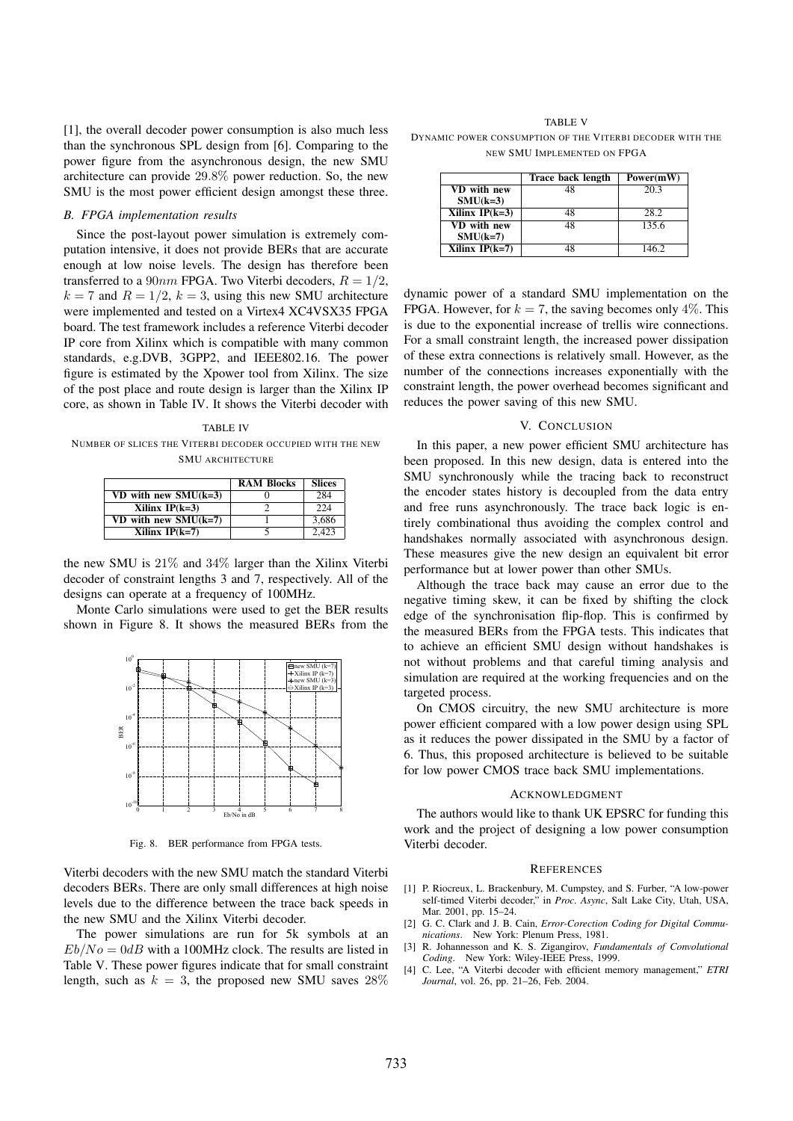[1], the overall decoder power consumption is also much less than the synchronous SPL design from [6]. Comparing to the power figure from the asynchronous design, the new SMU architecture can provide 29.8% power reduction. So, the new SMU is the most power efficient design amongst these three.

## *B. FPGA implementation results*

Since the post-layout power simulation is extremely computation intensive, it does not provide BERs that are accurate enough at low noise levels. The design has therefore been transferred to a  $90nm$  FPGA. Two Viterbi decoders,  $R = 1/2$ ,  $k = 7$  and  $R = 1/2$ ,  $k = 3$ , using this new SMU architecture were implemented and tested on a Virtex4 XC4VSX35 FPGA board. The test framework includes a reference Viterbi decoder IP core from Xilinx which is compatible with many common standards, e.g.DVB, 3GPP2, and IEEE802.16. The power figure is estimated by the Xpower tool from Xilinx. The size of the post place and route design is larger than the Xilinx IP core, as shown in Table IV. It shows the Viterbi decoder with

TABLE IV NUMBER OF SLICES THE VITERBI DECODER OCCUPIED WITH THE NEW SMU ARCHITECTURE

|                          | <b>RAM Blocks</b> | <b>Slices</b> |
|--------------------------|-------------------|---------------|
| VD with new $SMU(k=3)$   |                   | 284           |
| Xilinx $IP(k=3)$         |                   | 224           |
| $VD$ with new $SMU(k=7)$ |                   | 3,686         |
| Xilinx $IP(k=7)$         |                   | 2.423         |

the new SMU is 21% and 34% larger than the Xilinx Viterbi decoder of constraint lengths 3 and 7, respectively. All of the designs can operate at a frequency of 100MHz.

Monte Carlo simulations were used to get the BER results shown in Figure 8. It shows the measured BERs from the



Fig. 8. BER performance from FPGA tests.

Viterbi decoders with the new SMU match the standard Viterbi decoders BERs. There are only small differences at high noise levels due to the difference between the trace back speeds in the new SMU and the Xilinx Viterbi decoder.

The power simulations are run for 5k symbols at an  $Eb/No = 0dB$  with a 100MHz clock. The results are listed in Table V. These power figures indicate that for small constraint length, such as  $k = 3$ , the proposed new SMU saves  $28\%$ 

TABLE V DYNAMIC POWER CONSUMPTION OF THE VITERBI DECODER WITH THE NEW SMU IMPLEMENTED ON FPGA

|                    | Trace back length | Power(mW) |
|--------------------|-------------------|-----------|
| VD with new        | 48                | 20.3      |
| $SMU(k=3)$         |                   |           |
| Xilinx $IP(k=3)$   | 48                | 28.2      |
| <b>VD</b> with new | 48                | 135.6     |
| $SMU(k=7)$         |                   |           |
| Xilinx $IP(k=7)$   |                   | 146.2     |

dynamic power of a standard SMU implementation on the FPGA. However, for  $k = 7$ , the saving becomes only 4%. This is due to the exponential increase of trellis wire connections. For a small constraint length, the increased power dissipation of these extra connections is relatively small. However, as the number of the connections increases exponentially with the constraint length, the power overhead becomes significant and reduces the power saving of this new SMU.

#### V. CONCLUSION

In this paper, a new power efficient SMU architecture has been proposed. In this new design, data is entered into the SMU synchronously while the tracing back to reconstruct the encoder states history is decoupled from the data entry and free runs asynchronously. The trace back logic is entirely combinational thus avoiding the complex control and handshakes normally associated with asynchronous design. These measures give the new design an equivalent bit error performance but at lower power than other SMUs.

Although the trace back may cause an error due to the negative timing skew, it can be fixed by shifting the clock edge of the synchronisation flip-flop. This is confirmed by the measured BERs from the FPGA tests. This indicates that to achieve an efficient SMU design without handshakes is not without problems and that careful timing analysis and simulation are required at the working frequencies and on the targeted process.

On CMOS circuitry, the new SMU architecture is more power efficient compared with a low power design using SPL as it reduces the power dissipated in the SMU by a factor of 6. Thus, this proposed architecture is believed to be suitable for low power CMOS trace back SMU implementations.

#### ACKNOWLEDGMENT

The authors would like to thank UK EPSRC for funding this work and the project of designing a low power consumption Viterbi decoder.

#### **REFERENCES**

- [1] P. Riocreux, L. Brackenbury, M. Cumpstey, and S. Furber, "A low-power self-timed Viterbi decoder," in *Proc. Async*, Salt Lake City, Utah, USA, Mar. 2001, pp. 15–24.
- [2] G. C. Clark and J. B. Cain, *Error-Corection Coding for Digital Communications*. New York: Plenum Press, 1981.
- [3] R. Johannesson and K. S. Zigangirov, *Fundamentals of Convolutional Coding*. New York: Wiley-IEEE Press, 1999.
- [4] C. Lee, "A Viterbi decoder with efficient memory management," *ETRI Journal*, vol. 26, pp. 21–26, Feb. 2004.